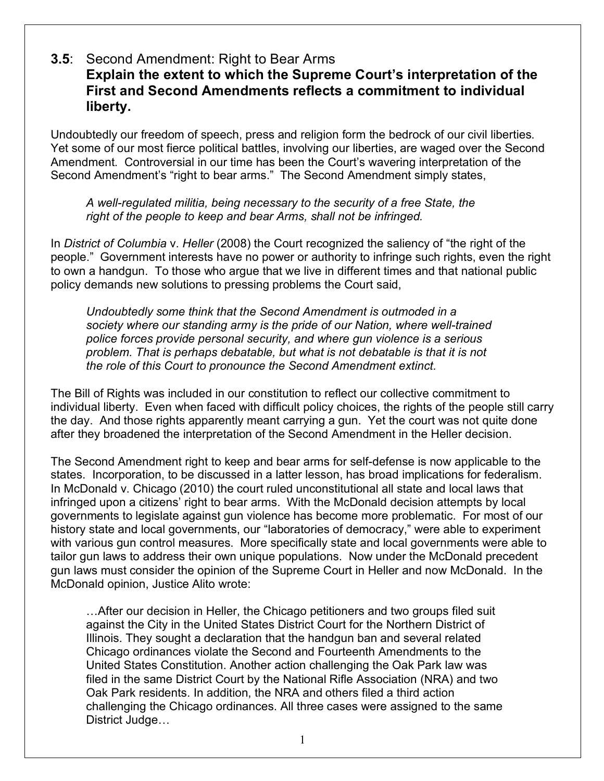## **3.5**: Second Amendment: Right to Bear Arms **Explain the extent to which the Supreme Court's interpretation of the First and Second Amendments reflects a commitment to individual liberty.**

Undoubtedly our freedom of speech, press and religion form the bedrock of our civil liberties. Yet some of our most fierce political battles, involving our liberties, are waged over the Second Amendment. Controversial in our time has been the Court's wavering interpretation of the Second Amendment's "right to bear arms." The Second Amendment simply states,

*A well-regulated militia, being necessary to the security of a free State, the right of the people to keep and bear Arms, shall not be infringed.*

In *District of Columbia* v. *Heller* (2008) the Court recognized the saliency of "the right of the people." Government interests have no power or authority to infringe such rights, even the right to own a handgun. To those who argue that we live in different times and that national public policy demands new solutions to pressing problems the Court said,

*Undoubtedly some think that the Second Amendment is outmoded in a society where our standing army is the pride of our Nation, where well-trained police forces provide personal security, and where gun violence is a serious problem. That is perhaps debatable, but what is not debatable is that it is not the role of this Court to pronounce the Second Amendment extinct.*

The Bill of Rights was included in our constitution to reflect our collective commitment to individual liberty. Even when faced with difficult policy choices, the rights of the people still carry the day. And those rights apparently meant carrying a gun. Yet the court was not quite done after they broadened the interpretation of the Second Amendment in the Heller decision.

The Second Amendment right to keep and bear arms for self-defense is now applicable to the states. Incorporation, to be discussed in a latter lesson, has broad implications for federalism. In McDonald v. Chicago (2010) the court ruled unconstitutional all state and local laws that infringed upon a citizens' right to bear arms. With the McDonald decision attempts by local governments to legislate against gun violence has become more problematic. For most of our history state and local governments, our "laboratories of democracy," were able to experiment with various gun control measures. More specifically state and local governments were able to tailor gun laws to address their own unique populations. Now under the McDonald precedent gun laws must consider the opinion of the Supreme Court in Heller and now McDonald. In the McDonald opinion, Justice Alito wrote:

…After our decision in Heller, the Chicago petitioners and two groups filed suit against the City in the United States District Court for the Northern District of Illinois. They sought a declaration that the handgun ban and several related Chicago ordinances violate the Second and Fourteenth Amendments to the United States Constitution. Another action challenging the Oak Park law was filed in the same District Court by the National Rifle Association (NRA) and two Oak Park residents. In addition, the NRA and others filed a third action challenging the Chicago ordinances. All three cases were assigned to the same District Judge…